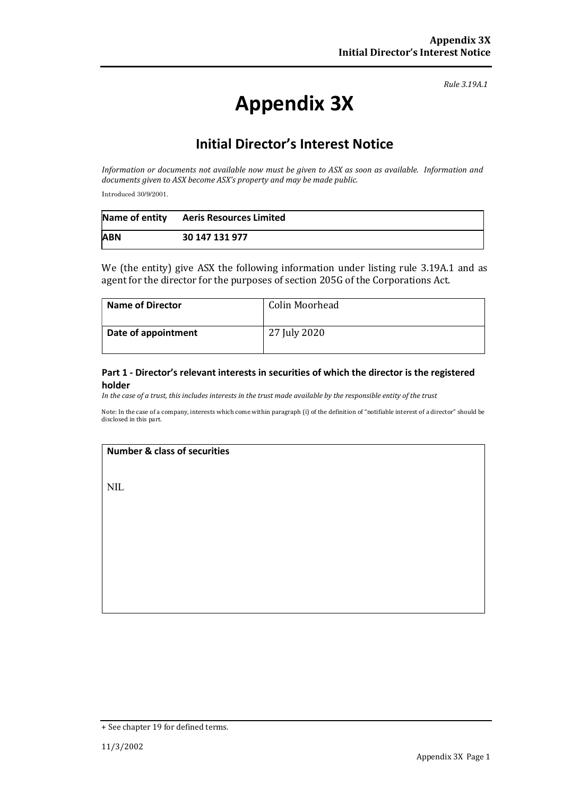Rule 3.19A.1

# Appendix 3X

# Initial Director's Interest Notice

Information or documents not available now must be given to ASX as soon as available. Information and documents given to ASX become ASX's property and may be made public.

Introduced 30/9/2001.

|            | Name of entity Aeris Resources Limited |
|------------|----------------------------------------|
| <b>ABN</b> | 30 147 131 977                         |

We (the entity) give ASX the following information under listing rule 3.19A.1 and as agent for the director for the purposes of section 205G of the Corporations Act.

| <b>Name of Director</b> | Colin Moorhead |
|-------------------------|----------------|
| Date of appointment     | 27 July 2020   |

#### Part 1 - Director's relevant interests in securities of which the director is the registered holder

In the case of a trust, this includes interests in the trust made available by the responsible entity of the trust

Note: In the case of a company, interests which come within paragraph (i) of the definition of "notifiable interest of a director" should be disclosed in this part.

#### Number & class of securities

NIL

<sup>+</sup> See chapter 19 for defined terms.